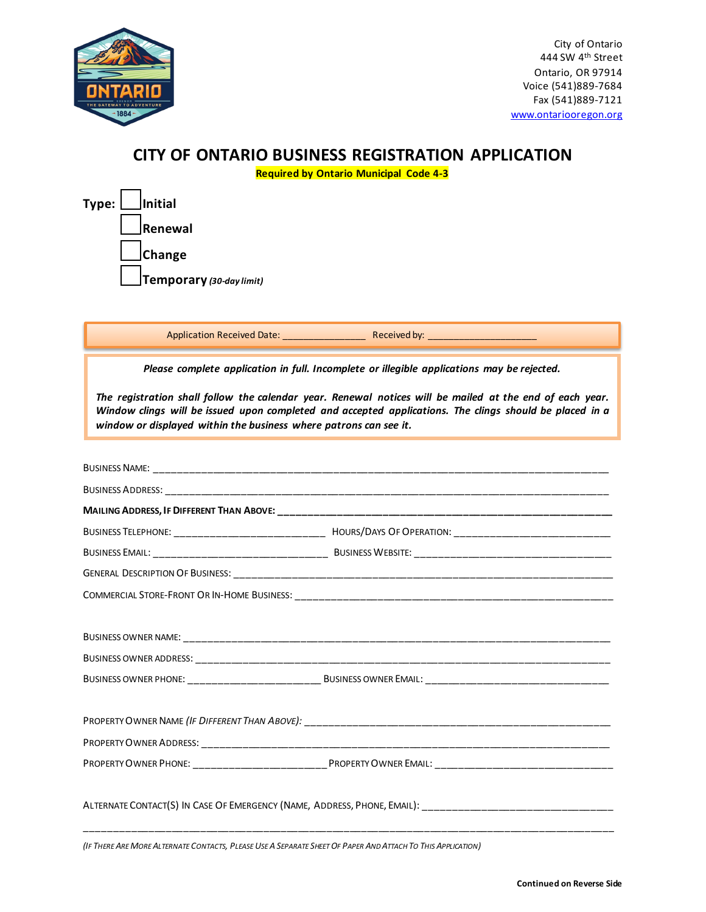

City of Ontario 444 SW 4th Street Ontario, OR 97914 Voice (541)889-7684 Fax (541)889-7121 www.ontariooregon.org

## **CITY OF ONTARIO BUSINESS REGISTRATION APPLICATION**

**Required by Ontario Municipal Code 4-3**

| $Type:$ Initial |                          |
|-----------------|--------------------------|
|                 | Renewal                  |
|                 | $\Box$ Change            |
|                 | Temporary (30-day limit) |

BUSINESS NAME: \_\_\_\_\_\_\_\_\_\_\_\_\_\_\_\_\_\_\_\_\_\_\_\_\_\_\_\_\_\_\_\_\_\_\_\_\_\_\_\_\_\_\_\_\_\_\_\_\_\_\_\_\_\_\_\_\_\_\_\_\_\_\_\_\_\_\_\_\_\_\_\_\_\_\_\_\_\_\_ BUSINESS ADDRESS: \_\_\_\_\_\_\_\_\_\_\_\_\_\_\_\_\_\_\_\_\_\_\_\_\_\_\_\_\_\_\_\_\_\_\_\_\_\_\_\_\_\_\_\_\_\_\_\_\_\_\_\_\_\_\_\_\_\_\_\_\_\_\_\_\_\_\_\_\_\_\_\_\_\_\_\_\_ **MAILING ADDRESS, IF DIFFERENT THAN ABOVE:** BUSINESS TELEPHONE: \_\_\_\_\_\_\_\_\_\_\_\_\_\_\_\_\_\_\_\_\_\_\_\_\_\_ HOURS/DAYS OF OPERATION: \_\_\_\_\_\_\_\_\_\_\_\_\_\_\_\_\_\_\_\_\_\_\_\_\_\_\_ BUSINESS EMAIL: \_\_\_\_\_\_\_\_\_\_\_\_\_\_\_\_\_\_\_\_\_\_\_\_\_\_\_\_\_\_ BUSINESS WEBSITE: \_\_\_\_\_\_\_\_\_\_\_\_\_\_\_\_\_\_\_\_\_\_\_\_\_\_\_\_\_\_\_\_\_\_ GENERAL DESCRIPTION OF BUSINESS: \_\_\_\_\_\_\_\_\_\_\_\_\_\_\_\_\_\_\_\_\_\_\_\_\_\_\_\_\_\_\_\_\_\_\_\_\_\_\_\_\_\_\_\_\_\_\_\_\_\_\_\_\_\_\_\_\_\_\_\_\_\_\_\_\_\_ COMMERCIAL STORE-FRONT OR IN-HOME BUSINESS: \_\_\_\_\_\_\_\_\_\_\_\_\_\_\_\_\_\_\_\_\_\_\_\_\_\_\_\_\_\_\_\_\_\_\_\_\_\_\_\_\_\_\_\_\_\_\_\_\_\_\_\_\_\_\_ BUSINESS OWNER NAME: \_\_\_\_\_\_\_\_\_\_\_\_\_\_\_\_\_\_\_\_\_\_\_\_\_\_\_\_\_\_\_\_\_\_\_\_\_\_\_\_\_\_\_\_\_\_\_\_\_\_\_\_\_\_\_\_\_\_\_\_\_\_\_\_\_\_\_\_\_\_\_\_\_\_ BUSINESS OWNER ADDRESS: \_\_\_\_\_\_\_\_\_\_\_\_\_\_\_\_\_\_\_\_\_\_\_\_\_\_\_\_\_\_\_\_\_\_\_\_\_\_\_\_\_\_\_\_\_\_\_\_\_\_\_\_\_\_\_\_\_\_\_\_\_\_\_\_\_\_\_\_\_\_\_\_ BUSINESS OWNER PHONE: \_\_\_\_\_\_\_\_\_\_\_\_\_\_\_\_\_\_\_\_\_\_\_ BUSINESS OWNER EMAIL: \_\_\_\_\_\_\_\_\_\_\_\_\_\_\_\_\_\_\_\_\_\_\_\_\_\_\_\_\_\_\_\_ PROPERTY OWNER NAME *(IF DIFFERENT THAN ABOVE):* \_\_\_\_\_\_\_\_\_\_\_\_\_\_\_\_\_\_\_\_\_\_\_\_\_\_\_\_\_\_\_\_\_\_\_\_\_\_\_\_\_\_\_\_\_\_\_\_\_\_\_\_\_ PROPERTY OWNER ADDRESS: \_\_\_\_\_\_\_\_\_\_\_\_\_\_\_\_\_\_\_\_\_\_\_\_\_\_\_\_\_\_\_\_\_\_\_\_\_\_\_\_\_\_\_\_\_\_\_\_\_\_\_\_\_\_\_\_\_\_\_\_\_\_\_\_\_\_\_\_\_\_\_ PROPERTY OWNER PHONE: \_\_\_\_\_\_\_\_\_\_\_\_\_\_\_\_\_\_\_\_\_\_\_PROPERTY OWNER EMAIL: \_\_\_\_\_\_\_\_\_\_\_\_\_\_\_\_\_\_\_\_\_\_\_\_\_\_\_\_\_\_\_ ALTERNATE CONTACT(S) IN CASE OF EMERGENCY (NAME, ADDRESS, PHONE, EMAIL): \_\_\_\_\_\_\_\_\_\_\_\_\_\_\_\_\_\_\_\_\_\_\_\_\_\_\_\_\_\_\_\_\_ \_\_\_\_\_\_\_\_\_\_\_\_\_\_\_\_\_\_\_\_\_\_\_\_\_\_\_\_\_\_\_\_\_\_\_\_\_\_\_\_\_\_\_\_\_\_\_\_\_\_\_\_\_\_\_\_\_\_\_\_\_\_\_\_\_\_\_\_\_\_\_\_\_\_\_\_\_\_\_\_\_\_\_\_\_\_\_\_\_\_\_\_ *Please complete application in full. Incomplete or illegible applications may be rejected. The registration shall follow the calendar year. Renewal notices will be mailed at the end of each year. Window clings will be issued upon completed and accepted applications. The clings should be placed in a window or displayed within the business where patrons can see it.*  Application Received Date: \_\_\_\_\_\_\_\_\_\_\_\_\_\_\_\_ Received by: \_\_\_\_\_\_\_\_\_\_\_\_\_\_\_\_\_\_\_\_\_

*(IF THERE ARE MORE ALTERNATE CONTACTS, PLEASE USE A SEPARATE SHEET OF PAPER AND ATTACH TO THIS APPLICATION)*